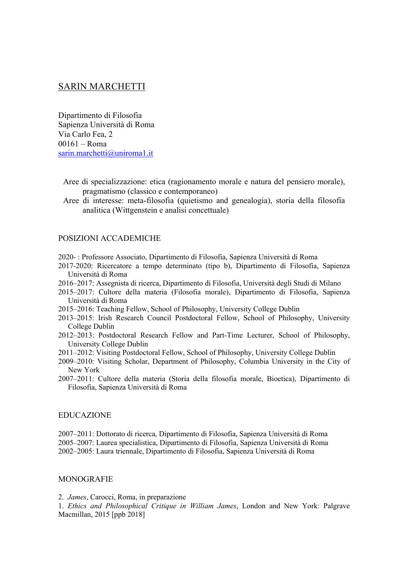# SARIN MARCHETTI

Dipartimento di Filosofia Sapienza Università di Roma Via Carlo Fea, 2 00161 – Roma sarin.marchetti@uniroma1.it

- Aree di specializzazione: etica (ragionamento morale e natura del pensiero morale), pragmatismo (classico e contemporaneo)
- Aree di interesse: meta-filosofia (quietismo and genealogia), storia della filosofia analitica (Wittgenstein e analisi concettuale)

## POSIZIONI ACCADEMICHE

- 2020- : Professore Associato, Dipartimento di Filosofia, Sapienza Università di Roma
- 2017-2020: Ricercatore a tempo determinato (tipo b), Dipartimento di Filosofia, Sapienza Università di Roma
- 2016–2017: Assegnista di ricerca, Dipartimento di Filosofia, Università degli Studi di Milano
- 2015–2017: Cultore della materia (Filosofia morale), Dipartimento di Filosofia, Sapienza Università di Roma
- 2015–2016: Teaching Fellow, School of Philosophy, University College Dublin
- 2013–2015: Irish Research Council Postdoctoral Fellow, School of Philosophy, University College Dublin
- 2012–2013: Postdoctoral Research Fellow and Part-Time Lecturer, School of Philosophy, University College Dublin
- 2011–2012: Visiting Postdoctoral Fellow, School of Philosophy, University College Dublin
- 2009–2010: Visiting Scholar, Department of Philosophy, Columbia University in the City of New York
- 2007–2011: Cultore della materia (Storia della filosofia morale, Bioetica), Dipartimento di Filosofia, Sapienza Università di Roma

#### EDUCAZIONE

2007–2011: Dottorato di ricerca, Dipartimento di Filosofia, Sapienza Università di Roma 2005–2007: Laurea specialistica, Dipartimento di Filosofia, Sapienza Università di Roma 2002–2005: Laura triennale, Dipartimento di Filosofia, Sapienza Università di Roma

#### **MONOGRAFIE**

2. *James*, Carocci, Roma, in preparazione

1. *Ethics and Philosophical Critique in William James*, London and New York: Palgrave Macmillan, 2015 [ppb 2018]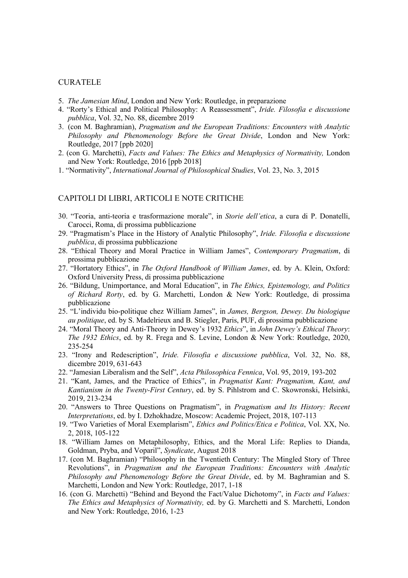### CURATELE

- 5. *The Jamesian Mind*, London and New York: Routledge, in preparazione
- 4. "Rorty's Ethical and Political Philosophy: A Reassessment", *Iride. Filosofia e discussione pubblica*, Vol. 32, No. 88, dicembre 2019
- 3. (con M. Baghramian), *Pragmatism and the European Traditions: Encounters with Analytic Philosophy and Phenomenology Before the Great Divide*, London and New York: Routledge, 2017 [ppb 2020]
- 2. (con G. Marchetti), *Facts and Values: The Ethics and Metaphysics of Normativity,* London and New York: Routledge, 2016 [ppb 2018]
- 1. "Normativity", *International Journal of Philosophical Studies*, Vol. 23, No. 3, 2015

### CAPITOLI DI LIBRI, ARTICOLI E NOTE CRITICHE

- 30. "Teoria, anti-teoria e trasformazione morale", in *Storie dell'etica*, a cura di P. Donatelli, Carocci, Roma, di prossima pubblicazione
- 29. "Pragmatism's Place in the History of Analytic Philosophy", *Iride. Filosofia e discussione pubblica*, di prossima pubblicazione
- 28. "Ethical Theory and Moral Practice in William James", *Contemporary Pragmatism*, di prossima pubblicazione
- 27. "Hortatory Ethics", in *The Oxford Handbook of William James*, ed. by A. Klein, Oxford: Oxford University Press, di prossima pubblicazione
- 26. "Bildung, Unimportance, and Moral Education", in *The Ethics, Epistemology, and Politics of Richard Rorty*, ed. by G. Marchetti, London & New York: Routledge, di prossima pubblicazione
- 25. "L'individu bio-politique chez William James", in *James, Bergson, Dewey. Du biologique au politique*, ed. by S. Madelrieux and B. Stiegler, Paris, PUF, di prossima pubblicazione
- 24. "Moral Theory and Anti-Theory in Dewey's 1932 *Ethics*", in *John Dewey's Ethical Theory*: *The 1932 Ethics*, ed. by R. Frega and S. Levine, London & New York: Routledge, 2020, 235-254
- 23. "Irony and Redescription", *Iride. Filosofia e discussione pubblica*, Vol. 32, No. 88, dicembre 2019, 631-643
- 22. "Jamesian Liberalism and the Self", *Acta Philosophica Fennica*, Vol. 95, 2019, 193-202
- 21. "Kant, James, and the Practice of Ethics", in *Pragmatist Kant: Pragmatism, Kant, and Kantianism in the Twenty-First Century*, ed. by S. Pihlstrom and C. Skowronski, Helsinki, 2019, 213-234
- 20. "Answers to Three Questions on Pragmatism", in *Pragmatism and Its History: Recent Interpretations*, ed. by I. Dzhokhadze, Moscow: Academic Project, 2018, 107-113
- 19. "Two Varieties of Moral Exemplarism", *Ethics and Politics/Etica e Politica*, Vol. XX, No. 2, 2018, 105-122
- 18. "William James on Metaphilosophy, Ethics, and the Moral Life: Replies to Dianda, Goldman, Pryba, and Voparil", *Syndicate*, August 2018
- 17. (con M. Baghramian) "Philosophy in the Twentieth Century: The Mingled Story of Three Revolutions", in *Pragmatism and the European Traditions: Encounters with Analytic Philosophy and Phenomenology Before the Great Divide*, ed. by M. Baghramian and S. Marchetti, London and New York: Routledge, 2017, 1-18
- 16. (con G. Marchetti) "Behind and Beyond the Fact/Value Dichotomy", in *Facts and Values: The Ethics and Metaphysics of Normativity,* ed. by G. Marchetti and S. Marchetti, London and New York: Routledge, 2016, 1-23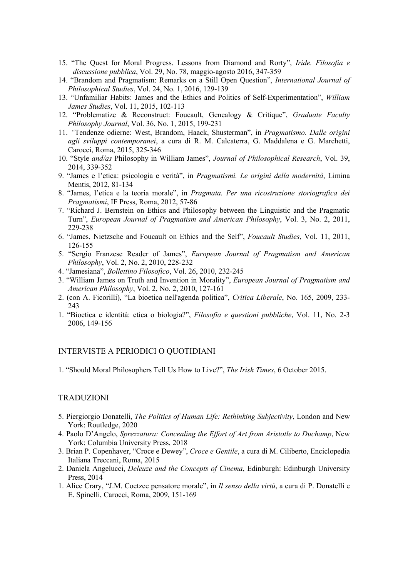- 15. "The Quest for Moral Progress. Lessons from Diamond and Rorty", *Iride. Filosofia e discussione pubblica*, Vol. 29, No. 78, maggio-agosto 2016, 347-359
- 14. "Brandom and Pragmatism: Remarks on a Still Open Question", *International Journal of Philosophical Studies*, Vol. 24, No. 1, 2016, 129-139
- 13. "Unfamiliar Habits: James and the Ethics and Politics of Self-Experimentation", *William James Studies*, Vol. 11, 2015, 102-113
- 12. "Problematize & Reconstruct: Foucault, Genealogy & Critique", *Graduate Faculty Philosophy Journal*, Vol. 36, No. 1, 2015, 199-231
- 11. *"*Tendenze odierne: West, Brandom, Haack, Shusterman", in *Pragmatismo. Dalle origini agli sviluppi contemporanei*, a cura di R. M. Calcaterra, G. Maddalena e G. Marchetti, Carocci, Roma, 2015, 325-346
- 10. "Style *and/as* Philosophy in William James", *Journal of Philosophical Research*, Vol. 39, 2014, 339-352
- 9. "James e l'etica: psicologia e verità", in *Pragmatismi. Le origini della modernità*, Limina Mentis, 2012, 81-134
- 8. "James, l'etica e la teoria morale", in *Pragmata. Per una ricostruzione storiografica dei Pragmatismi*, IF Press, Roma, 2012, 57-86
- 7. "Richard J. Bernstein on Ethics and Philosophy between the Linguistic and the Pragmatic Turn", *European Journal of Pragmatism and American Philosophy*, Vol. 3, No. 2, 2011, 229-238
- 6. "James, Nietzsche and Foucault on Ethics and the Self", *Foucault Studies*, Vol. 11, 2011, 126-155
- 5. "Sergio Franzese Reader of James", *European Journal of Pragmatism and American Philosophy*, Vol. 2, No. 2, 2010, 228-232
- 4. "Jamesiana", *Bollettino Filosofico*, Vol. 26, 2010, 232-245
- 3. "William James on Truth and Invention in Morality", *European Journal of Pragmatism and American Philosophy*, Vol. 2, No. 2, 2010, 127-161
- 2. (con A. Ficorilli), "La bioetica nell'agenda politica", *Critica Liberale*, No. 165, 2009, 233- 243
- 1. "Bioetica e identità: etica o biologia?", *Filosofia e questioni pubbliche*, Vol. 11, No. 2-3 2006, 149-156

# INTERVISTE A PERIODICI O QUOTIDIANI

1. "Should Moral Philosophers Tell Us How to Live?", *The Irish Times*, 6 October 2015.

### TRADUZIONI

- 5. Piergiorgio Donatelli, *The Politics of Human Life: Rethinking Subjectivity*, London and New York: Routledge, 2020
- 4. Paolo D'Angelo, *Sprezzatura: Concealing the Effort of Art from Aristotle to Duchamp*, New York: Columbia University Press, 2018
- 3. Brian P. Copenhaver, "Croce e Dewey", *Croce e Gentile*, a cura di M. Ciliberto, Enciclopedia Italiana Treccani, Roma, 2015
- 2. Daniela Angelucci, *Deleuze and the Concepts of Cinema*, Edinburgh: Edinburgh University Press, 2014
- 1. Alice Crary, "J.M. Coetzee pensatore morale", in *Il senso della virtù*, a cura di P. Donatelli e E. Spinelli, Carocci, Roma, 2009, 151-169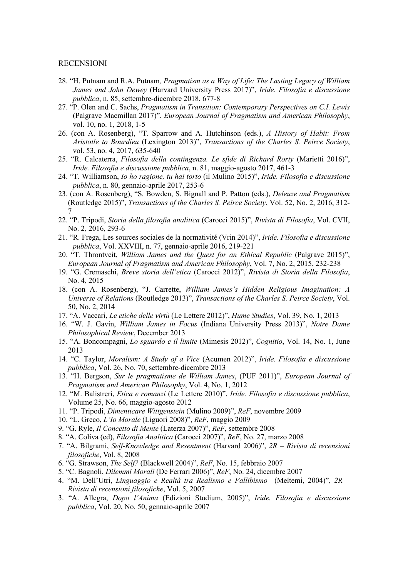### RECENSIONI

- 28. "H. Putnam and R.A. Putnam*, Pragmatism as a Way of Life: The Lasting Legacy of William James and John Dewey* (Harvard University Press 2017)", *Iride. Filosofia e discussione pubblica*, n. 85, settembre-dicembre 2018, 677-8
- 27. "P. Olen and C. Sachs, *Pragmatism in Transition: Contemporary Perspectives on C.I. Lewis* (Palgrave Macmillan 2017)", *European Journal of Pragmatism and American Philosophy*, vol. 10, no. 1, 2018, 1-5
- 26. (con A. Rosenberg), "T. Sparrow and A. Hutchinson (eds.), *A History of Habit: From Aristotle to Bourdieu* (Lexington 2013)", *Transactions of the Charles S. Peirce Society*, vol. 53, no. 4, 2017, 635-640
- 25. "R. Calcaterra, *Filosofia della contingenza. Le sfide di Richard Rorty* (Marietti 2016)", *Iride. Filosofia e discussione pubblica*, n. 81, maggio-agosto 2017, 461-3
- 24. "T. Williamson, *Io ho ragione, tu hai torto* (il Mulino 2015)", *Iride. Filosofia e discussione pubblica*, n. 80, gennaio-aprile 2017, 253-6
- 23. (con A. Rosenberg), "S. Bowden, S. Bignall and P. Patton (eds.), *Deleuze and Pragmatism*  (Routledge 2015)", *Transactions of the Charles S. Peirce Society*, Vol. 52, No. 2, 2016, 312- 7
- 22. "P. Tripodi, *Storia della filosofia analitica* (Carocci 2015)", *Rivista di Filosofia*, Vol. CVII, No. 2, 2016, 293-6
- 21. "R. Frega, Les sources sociales de la normativité (Vrin 2014)", *Iride. Filosofia e discussione pubblica*, Vol. XXVIII, n. 77, gennaio-aprile 2016, 219-221
- 20. "T. Throntveit, *William James and the Quest for an Ethical Republic* (Palgrave 2015)", *European Journal of Pragmatism and American Philosophy*, Vol. 7, No. 2, 2015, 232-238
- 19. "G. Cremaschi, *Breve storia dell'etica* (Carocci 2012)", *Rivista di Storia della Filosofia*, No. 4, 2015
- 18. (con A. Rosenberg), "J. Carrette, *William James's Hidden Religious Imagination: A Universe of Relations* (Routledge 2013)", *Transactions of the Charles S. Peirce Society*, Vol. 50, No. 2, 2014
- 17. "A. Vaccari, *Le etiche delle virtù* (Le Lettere 2012)", *Hume Studies*, Vol. 39, No. 1, 2013
- 16. "W. J. Gavin, *William James in Focus* (Indiana University Press 2013)", *Notre Dame Philosophical Review*, December 2013
- 15. "A. Boncompagni, *Lo sguardo e il limite* (Mimesis 2012)", *Cognitio*, Vol. 14, No. 1, June 2013
- 14. "C. Taylor, *Moralism: A Study of a Vice* (Acumen 2012)", *Iride. Filosofia e discussione pubblica*, Vol. 26, No. 70, settembre-dicembre 2013
- 13. "H. Bergson, *Sur le pragmatisme de William James*, (PUF 2011)", *European Journal of Pragmatism and American Philosophy*, Vol. 4, No. 1, 2012
- 12. "M. Balistreri, *Etica e romanzi* (Le Lettere 2010)", *Iride. Filosofia e discussione pubblica*, Volume 25, No. 66, maggio-agosto 2012
- 11. "P. Tripodi, *Dimenticare Wittgenstein* (Mulino 2009)", *ReF*, novembre 2009
- 10. "L. Greco, *L'Io Morale* (Liguori 2008)", *ReF*, maggio 2009
- 9. "G. Ryle, *Il Concetto di Mente* (Laterza 2007)", *ReF*, settembre 2008
- 8. "A. Coliva (ed), *Filosofia Analitica* (Carocci 2007)", *ReF*, No. 27, marzo 2008
- 7. "A. Bilgrami, *Self-Knowledge and Resentment* (Harvard 2006)", *2R – Rivista di recensioni filosofiche*, Vol. 8, 2008
- 6. "G. Strawson, *The Self?* (Blackwell 2004)", *ReF*, No. 15, febbraio 2007
- 5. "C. Bagnoli, *Dilemmi Morali* (De Ferrari 2006)", *ReF*, No. 24, dicembre 2007
- 4. "M. Dell'Utri, *Linguaggio e Realtà tra Realismo e Fallibismo* (Meltemi, 2004)", *2R – Rivista di recensioni filosofiche*, Vol. 5, 2007
- 3. "A. Allegra, *Dopo l'Anima* (Edizioni Studium, 2005)", *Iride. Filosofia e discussione pubblica*, Vol. 20, No. 50, gennaio-aprile 2007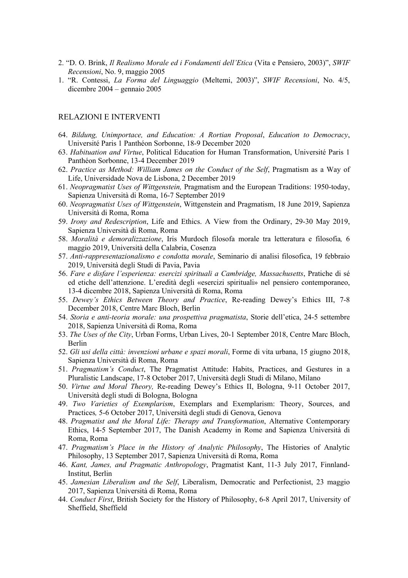- 2. "D. O. Brink, *Il Realismo Morale ed i Fondamenti dell'Etica* (Vita e Pensiero, 2003)", *SWIF Recensioni*, No. 9, maggio 2005
- 1. "R. Contessi, *La Forma del Linguaggio* (Meltemi, 2003)", *SWIF Recensioni*, No. 4/5, dicembre 2004 – gennaio 2005

## RELAZIONI E INTERVENTI

- 64. *Bildung, Unimportace, and Education: A Rortian Proposal*, *Education to Democracy*, Université Paris 1 Panthéon Sorbonne, 18-9 December 2020
- 63. *Habituation and Virtue*, Political Education for Human Transformation, Université Paris 1 Panthéon Sorbonne, 13-4 December 2019
- 62. *Practice as Method: William James on the Conduct of the Self*, Pragmatism as a Way of Life, Universidade Nova de Lisbona, 2 December 2019
- 61. *Neopragmatist Uses of Wittgenstein,* Pragmatism and the European Traditions: 1950-today, Sapienza Università di Roma, 16-7 September 2019
- 60. *Neopragmatist Uses of Wittgenstein*, Wittgenstein and Pragmatism, 18 June 2019, Sapienza Università di Roma, Roma
- 59. *Irony and Redescription*, Life and Ethics. A View from the Ordinary, 29-30 May 2019, Sapienza Università di Roma, Roma
- 58. *Moralità e demoralizzazione*, Iris Murdoch filosofa morale tra letteratura e filosofia*,* 6 maggio 2019, Università della Calabria, Cosenza
- 57. *Anti-rappresentazionalismo e condotta morale*, Seminario di analisi filosofica, 19 febbraio 2019, Università degli Studi di Pavia, Pavia
- 56. *Fare e disfare l'esperienza: esercizi spirituali a Cambridge, Massachusetts*, Pratiche di sé ed etiche dell'attenzione. L'eredità degli «esercizi spirituali» nel pensiero contemporaneo, 13-4 dicembre 2018, Sapienza Università di Roma, Roma
- 55. *Dewey's Ethics Between Theory and Practice*, Re-reading Dewey's Ethics III, 7-8 December 2018, Centre Marc Bloch, Berlin
- 54. *Storia e anti-teoria morale: una prospettiva pragmatista*, Storie dell'etica, 24-5 settembre 2018, Sapienza Università di Roma, Roma
- 53. *The Uses of the City*, Urban Forms, Urban Lives, 20-1 September 2018, Centre Marc Bloch, Berlin
- 52. *Gli usi della città: invenzioni urbane e spazi morali*, Forme di vita urbana, 15 giugno 2018, Sapienza Università di Roma, Roma
- 51. *Pragmatism's Conduct*, The Pragmatist Attitude: Habits, Practices, and Gestures in a Pluralistic Landscape, 17-8 October 2017, Università degli Studi di Milano, Milano
- 50. *Virtue and Moral Theory,* Re-reading Dewey's Ethics II, Bologna, 9-11 October 2017, Università degli studi di Bologna, Bologna
- 49. *Two Varieties of Exemplarism*, Exemplars and Exemplarism: Theory, Sources, and Practices*,* 5-6 October 2017, Università degli studi di Genova, Genova
- 48. *Pragmatist and the Moral Life: Therapy and Transformation*, Alternative Contemporary Ethics, 14-5 September 2017, The Danish Academy in Rome and Sapienza Università di Roma, Roma
- 47. *Pragmatism's Place in the History of Analytic Philosophy*, The Histories of Analytic Philosophy, 13 September 2017, Sapienza Università di Roma, Roma
- 46. *Kant, James, and Pragmatic Anthropology*, Pragmatist Kant, 11-3 July 2017, Finnland-Institut, Berlin
- 45. *Jamesian Liberalism and the Self*, Liberalism, Democratic and Perfectionist, 23 maggio 2017, Sapienza Università di Roma, Roma
- 44. *Conduct First*, British Society for the History of Philosophy, 6-8 April 2017, University of Sheffield, Sheffield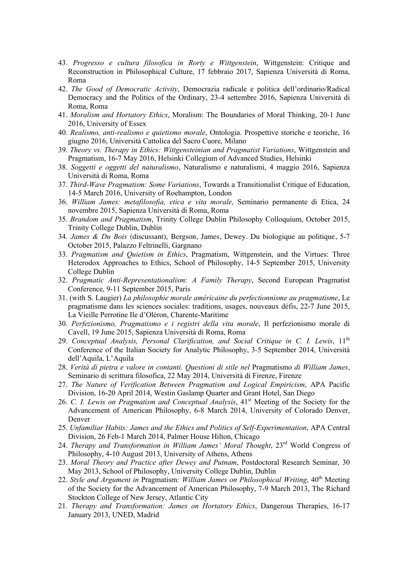- 43. *Progresso e cultura filosofica in Rorty e Wittgenstein*, Wittgenstein: Critique and Reconstruction in Philosophical Culture, 17 febbraio 2017, Sapienza Università di Roma, Roma
- 42. *The Good of Democratic Activity*, Democrazia radicale e politica dell'ordinario/Radical Democracy and the Politics of the Ordinary, 23-4 settembre 2016, Sapienza Università di Roma, Roma
- 41. *Moralism and Hortatory Ethics*, Moralism: The Boundaries of Moral Thinking, 20-1 June 2016, University of Essex
- 40. *Realismo, anti-realismo e quietismo morale*, Ontologia. Prospettive storiche e teoriche, 16 giugno 2016, Università Cattolica del Sacro Cuore, Milano
- 39. *Theory vs. Therapy in Ethics: Wittgensteinian and Pragmatist Variations*, Wittgenstein and Pragmatism, 16-7 May 2016, Helsinki Collegium of Advanced Studies, Helsinki
- 38. *Soggetti e oggetti del naturalismo*, Naturalismo e naturalismi, 4 maggio 2016, Sapienza Università di Roma, Roma
- 37. *Third-Wave Pragmatism: Some Variations*, Towards a Transitionalist Critique of Education, 14-5 March 2016, University of Roehampton, London
- 36. *William James: metafilosofia, etica e vita morale*, Seminario permanente di Etica, 24 novembre 2015, Sapienza Università di Roma, Roma
- 35. *Brandom and Pragmatism*, Trinity College Dublin Philosophy Colloquium, October 2015, Trinity College Dublin, Dublin
- 34. *James & Du Bois* (discussant), Bergson, James, Dewey. Du biologique au politique, 5-7 October 2015, Palazzo Feltrinelli, Gargnano
- 33. *Pragmatism and Quietism in Ethics*, Pragmatism, Wittgenstein, and the Virtues: Three Heterodox Approaches to Ethics, School of Philosophy, 14-5 September 2015, University College Dublin
- 32. *Pragmatic Anti-Representationalism: A Family Therapy*, Second European Pragmatist Conference, 9-11 September 2015, Paris
- 31. (with S. Laugier) *La philosophie morale américaine du perfectionnisme au pragmatisme*, Le pragmatisme dans les sciences sociales: traditions, usages, nouveaux défis, 22-7 June 2015, La Vieille Perrotine Ile d'Oléron, Charente-Maritime
- 30. *Perfezionismo, Pragmatismo e i registri della vita morale*, Il perfezionismo morale di Cavell, 19 June 2015, Sapienza Università di Roma, Roma
- 29. *Conceptual Analysis, Personal Clarification, and Social Critique in C. I. Lewis*, 11th Conference of the Italian Society for Analytic Philosophy, 3-5 September 2014, Università dell'Aquila, L'Aquila
- 28. *Verità di pietra e valore in contanti. Questioni di stile nel* Pragmatismo *di William James*, Seminario di scrittura filosofica, 22 May 2014, Università di Firenze, Firenze
- 27. *The Nature of Verification Between Pragmatism and Logical Empiricism*, APA Pacific Division, 16-20 April 2014, Westin Gaslamp Quarter and Grant Hotel, San Diego
- 26. *C. I. Lewis on Pragmatism and Conceptual Analysis*, 41st Meeting of the Society for the Advancement of American Philosophy, 6-8 March 2014, University of Colorado Denver, Denver
- 25. *Unfamiliar Habits: James and the Ethics and Politics of Self-Experimentation*, APA Central Division, 26 Feb-1 March 2014, Palmer House Hilton, Chicago
- 24. *Therapy and Transformation in William James' Moral Thought*, 23rd World Congress of Philosophy, 4-10 August 2013, University of Athens, Athens
- 23. *Moral Theory and Practice after Dewey and Putnam*, Postdoctoral Research Seminar, 30 May 2013, School of Philosophy, University College Dublin, Dublin
- 22. Style and Argument in Pragmatism: William James on Philosophical Writing, 40<sup>th</sup> Meeting of the Society for the Advancement of American Philosophy, 7-9 March 2013, The Richard Stockton College of New Jersey, Atlantic City
- 21. *Therapy and Transformation: James on Hortatory Ethics*, Dangerous Therapies, 16-17 January 2013, UNED, Madrid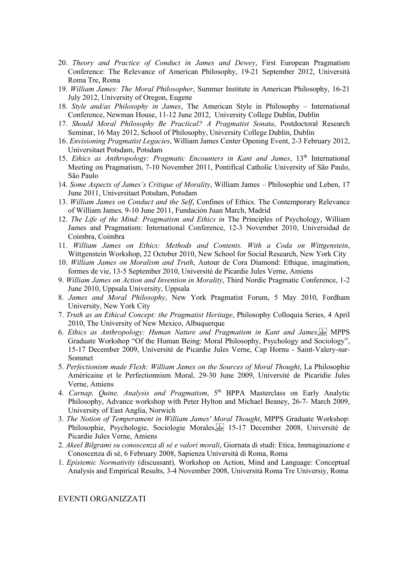- 20. *Theory and Practice of Conduct in James and Dewey*, First European Pragmatism Conference: The Relevance of American Philosophy, 19-21 September 2012, Università Roma Tre, Roma
- 19. *William James: The Moral Philosopher*, Summer Institute in American Philosophy, 16-21 July 2012, University of Oregon, Eugene
- 18. *Style and/as Philosophy in James*, The American Style in Philosophy International Conference, Newman House, 11-12 June 2012, University College Dublin, Dublin
- 17. *Should Moral Philosophy Be Practical? A Pragmatist Sonata*, Postdoctoral Research Seminar, 16 May 2012, School of Philosophy, University College Dublin, Dublin
- 16. *Envisioning Pragmatist Legacies*, William James Center Opening Event, 2-3 February 2012, Universitaet Potsdam, Potsdam
- 15. *Ethics as Anthropology: Pragmatic Encounters in Kant and James*, 13<sup>th</sup> International Meeting on Pragmatism, 7-10 November 2011, Pontifical Catholic University of São Paulo, São Paulo
- 14. *Some Aspects of James's Critique of Morality*, William James Philosophie und Leben, 17 June 2011, Universitaet Potsdam, Potsdam
- 13. *William James on Conduct and the Self*, Confines of Ethics. The Contemporary Relevance of William James*,* 9-10 June 2011, Fundación Juan March, Madrid
- 12. *The Life of the Mind: Pragmatism and Ethics in* The Principles of Psychology, William James and Pragmatism: International Conference, 12-3 November 2010, Universidad de Coimbra, Coimbra
- 11. *William James on Ethics: Methods and Contents. With a Coda on Wittgenstein*, Wittgenstein Workshop, 22 October 2010, New School for Social Research, New York City
- 10. *William James on Moralism and Truth*, Autour de Cora Diamond: Ethique, imagination, formes de vie, 13-5 September 2010, Université de Picardie Jules Verne, Amiens
- 9. *William James on Action and Invention in Morality*, Third Nordic Pragmatic Conference, 1-2 June 2010, Uppsala University, Uppsala
- 8. *James and Moral Philosophy*, New York Pragmatist Forum, 5 May 2010, Fordham University, New York City
- 7. *Truth as an Ethical Concept: the Pragmatist Heritage*, Philosophy Colloquia Series, 4 April 2010, The University of New Mexico, Albuquerque
- 6. *Ethics as Anthropology: Human Nature and Pragmatism in Kant and James*, MPPS Graduate Workshop "Of the Human Being: Moral Philosophy, Psychology and Sociology", 15-17 December 2009, Université de Picardie Jules Verne, Cap Hornu - Saint-Valery-sur-Sommet
- 5. *Perfectionism made Flesh: William James on the Sources of Moral Thought*, La Philosophie Américaine et le Perfectionnism Moral, 29-30 June 2009, Université de Picaridie Jules Verne, Amiens
- 4. *Carnap, Quine, Analysis and Pragmatism*, 5<sup>th</sup> BPPA Masterclass on Early Analytic Philosophy, Advance workshop with Peter Hylton and Michael Beaney, 26-7- March 2009, University of East Anglia, Norwich
- 3. *The Notion of Temperament in William James' Moral Thought*, MPPS Graduate Workshop: Philosophie, Psychologie, Sociologie Morales, [11] 15-17 December 2008, Université de Picardie Jules Verne, Amiens
- 2. *Akeel Bilgrami su conoscenza di sé e valori morali*, Giornata di studi: Etica, Immaginazione e Conoscenza di sé, 6 February 2008, Sapienza Università di Roma, Roma
- 1. *Epistemic Normativity* (discussant)*,* Workshop on Action, Mind and Language: Conceptual Analysis and Empirical Results, 3-4 November 2008, Università Roma Tre Universiy, Roma

### EVENTI ORGANIZZATI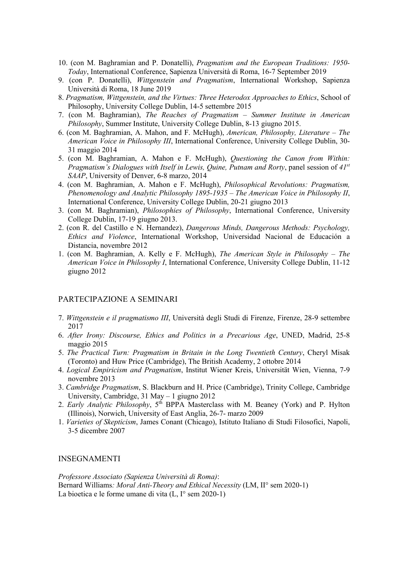- 10. (con M. Baghramian and P. Donatelli), *Pragmatism and the European Traditions: 1950- Today*, International Conference, Sapienza Università di Roma, 16-7 September 2019
- 9. (con P. Donatelli), *Wittgenstein and Pragmatism*, International Workshop, Sapienza Università di Roma, 18 June 2019
- 8. *Pragmatism, Wittgenstein, and the Virtues: Three Heterodox Approaches to Ethics*, School of Philosophy, University College Dublin, 14-5 settembre 2015
- 7. (con M. Baghramian), *The Reaches of Pragmatism – Summer Institute in American Philosophy*, Summer Institute, University College Dublin, 8-13 giugno 2015.
- 6. (con M. Baghramian, A. Mahon, and F. McHugh), *American, Philosophy, Literature The American Voice in Philosophy III*, International Conference, University College Dublin, 30- 31 maggio 2014
- 5. (con M. Baghramian, A. Mahon e F. McHugh), *Questioning the Canon from Within: Pragmatism's Dialogues with Itself in Lewis, Quine, Putnam and Rorty*, panel session of *41st SAAP*, University of Denver, 6-8 marzo, 2014
- 4. (con M. Baghramian, A. Mahon e F. McHugh), *Philosophical Revolutions: Pragmatism, Phenomenology and Analytic Philosophy 1895-1935* – *The American Voice in Philosophy II*, International Conference, University College Dublin, 20-21 giugno 2013
- 3. (con M. Baghramian), *Philosophies of Philosophy*, International Conference, University College Dublin, 17-19 giugno 2013.
- 2. (con R. del Castillo e N. Hernandez), *Dangerous Minds, Dangerous Methods: Psychology, Ethics and Violence*, International Workshop, Universidad Nacional de Educación a Distancia, novembre 2012
- 1. (con M. Baghramian, A. Kelly e F. McHugh), *The American Style in Philosophy The American Voice in Philosophy I*, International Conference, University College Dublin, 11-12 giugno 2012

### PARTECIPAZIONE A SEMINARI

- 7. *Wittgenstein e il pragmatismo III*, Università degli Studi di Firenze, Firenze, 28-9 settembre 2017
- 6. *After Irony: Discourse, Ethics and Politics in a Precarious Age*, UNED, Madrid, 25-8 maggio 2015
- 5. *The Practical Turn: Pragmatism in Britain in the Long Twentieth Century*, Cheryl Misak (Toronto) and Huw Price (Cambridge), The British Academy, 2 ottobre 2014
- 4. *Logical Empiricism and Pragmatism*, Institut Wiener Kreis, Universität Wien, Vienna, 7-9 novembre 2013
- 3. *Cambridge Pragmatism*, S. Blackburn and H. Price (Cambridge), Trinity College, Cambridge University, Cambridge, 31 May – 1 giugno 2012
- 2. *Early Analytic Philosophy*, 5<sup>th</sup> BPPA Masterclass with M. Beaney (York) and P. Hylton (Illinois), Norwich, University of East Anglia, 26-7- marzo 2009
- 1. *Varieties of Skepticism*, James Conant (Chicago), Istituto Italiano di Studi Filosofici, Napoli, 3-5 dicembre 2007

#### INSEGNAMENTI

*Professore Associato (Sapienza Università di Roma)*: Bernard Williams*: Moral Anti-Theory and Ethical Necessity* (LM, II° sem 2020-1) La bioetica e le forme umane di vita (L, I° sem 2020-1)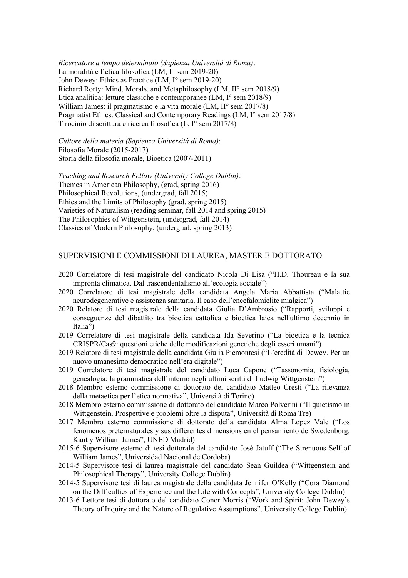*Ricercatore a tempo determinato (Sapienza Università di Roma)*: La moralità e l'etica filosofica (LM, I° sem 2019-20) John Dewey: Ethics as Practice (LM, I° sem 2019-20) Richard Rorty: Mind, Morals, and Metaphilosophy (LM, II° sem 2018/9) Etica analitica: letture classiche e contemporanee (LM, I° sem 2018/9) William James: il pragmatismo e la vita morale (LM, II° sem 2017/8) Pragmatist Ethics: Classical and Contemporary Readings (LM, I° sem 2017/8) Tirocinio di scrittura e ricerca filosofica (L, I° sem 2017/8)

*Cultore della materia (Sapienza Università di Roma)*: Filosofia Morale (2015-2017) Storia della filosofia morale, Bioetica (2007-2011)

*Teaching and Research Fellow (University College Dublin)*: Themes in American Philosophy, (grad, spring 2016) Philosophical Revolutions, (undergrad, fall 2015) Ethics and the Limits of Philosophy (grad, spring 2015) Varieties of Naturalism (reading seminar, fall 2014 and spring 2015) The Philosophies of Wittgenstein, (undergrad, fall 2014) Classics of Modern Philosophy, (undergrad, spring 2013)

### SUPERVISIONI E COMMISSIONI DI LAUREA, MASTER E DOTTORATO

- 2020 Correlatore di tesi magistrale del candidato Nicola Di Lisa ("H.D. Thoureau e la sua impronta climatica. Dal trascendentalismo all'ecologia sociale")
- 2020 Correlatore di tesi magistrale della candidata Angela Maria Abbattista ("Malattie neurodegenerative e assistenza sanitaria. Il caso dell'encefalomielite mialgica")
- 2020 Relatore di tesi magistrale della candidata Giulia D'Ambrosio ("Rapporti, sviluppi e conseguenze del dibattito tra bioetica cattolica e bioetica laica nell'ultimo decennio in Italia")
- 2019 Correlatore di tesi magistrale della candidata Ida Severino ("La bioetica e la tecnica CRISPR/Cas9: questioni etiche delle modificazioni genetiche degli esseri umani")
- 2019 Relatore di tesi magistrale della candidata Giulia Piemontesi ("L'eredità di Dewey. Per un nuovo umanesimo democratico nell'era digitale")
- 2019 Correlatore di tesi magistrale del candidato Luca Capone ("Tassonomia, fisiologia, genealogia: la grammatica dell'interno negli ultimi scritti di Ludwig Wittgenstein")
- 2018 Membro esterno commissione di dottorato del candidato Matteo Cresti ("La rilevanza della metaetica per l'etica normativa", Università di Torino)
- 2018 Membro esterno commissione di dottorato del candidato Marco Polverini ("Il quietismo in Wittgenstein. Prospettive e problemi oltre la disputa", Università di Roma Tre)
- 2017 Membro esterno commissione di dottorato della candidata Alma Lopez Vale ("Los fenomenos preternaturales y sus differentes dimensions en el pensamiento de Swedenborg, Kant y William James", UNED Madrid)
- 2015-6 Supervisore esterno di tesi dottorale del candidato José Jatuff ("The Strenuous Self of William James", Universidad Nacional de Córdoba)
- 2014-5 Supervisore tesi di laurea magistrale del candidato Sean Guildea ("Wittgenstein and Philosophical Therapy", University College Dublin)
- 2014-5 Supervisore tesi di laurea magistrale della candidata Jennifer O'Kelly ("Cora Diamond on the Difficulties of Experience and the Life with Concepts", University College Dublin)
- 2013-6 Lettore tesi di dottorato del candidato Conor Morris ("Work and Spirit: John Dewey's Theory of Inquiry and the Nature of Regulative Assumptions", University College Dublin)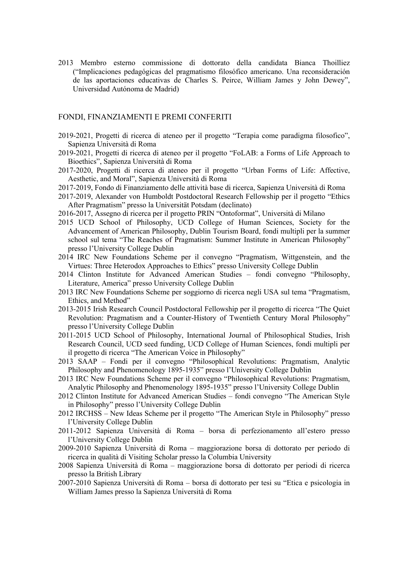2013 Membro esterno commissione di dottorato della candidata Bianca Thoilliez ("Implicaciones pedagógicas del pragmatismo filosófico americano. Una reconsideración de las aportaciones educativas de Charles S. Peirce, William James y John Dewey", Universidad Autónoma de Madrid)

### FONDI, FINANZIAMENTI E PREMI CONFERITI

- 2019-2021, Progetti di ricerca di ateneo per il progetto "Terapia come paradigma filosofico", Sapienza Università di Roma
- 2019-2021, Progetti di ricerca di ateneo per il progetto "FoLAB: a Forms of Life Approach to Bioethics", Sapienza Università di Roma
- 2017-2020, Progetti di ricerca di ateneo per il progetto "Urban Forms of Life: Affective, Aesthetic, and Moral", Sapienza Università di Roma
- 2017-2019, Fondo di Finanziamento delle attività base di ricerca, Sapienza Università di Roma
- 2017-2019, Alexander von Humboldt Postdoctoral Research Fellowship per il progetto "Ethics After Pragmatism" presso la Universität Potsdam (declinato)
- 2016-2017, Assegno di ricerca per il progetto PRIN "Ontoformat", Università di Milano
- 2015 UCD School of Philosophy, UCD College of Human Sciences, Society for the Advancement of American Philosophy, Dublin Tourism Board, fondi multipli per la summer school sul tema "The Reaches of Pragmatism: Summer Institute in American Philosophy" presso l'University College Dublin
- 2014 IRC New Foundations Scheme per il convegno "Pragmatism, Wittgenstein, and the Virtues: Three Heterodox Approaches to Ethics" presso University College Dublin
- 2014 Clinton Institute for Advanced American Studies fondi convegno "Philosophy, Literature, America" presso University College Dublin
- 2013 IRC New Foundations Scheme per soggiorno di ricerca negli USA sul tema "Pragmatism, Ethics, and Method"
- 2013-2015 Irish Research Council Postdoctoral Fellowship per il progetto di ricerca "The Quiet Revolution: Pragmatism and a Counter-History of Twentieth Century Moral Philosophy" presso l'University College Dublin
- 2011-2015 UCD School of Philosophy, International Journal of Philosophical Studies, Irish Research Council, UCD seed funding, UCD College of Human Sciences, fondi multipli per il progetto di ricerca "The American Voice in Philosophy"
- 2013 SAAP Fondi per il convegno "Philosophical Revolutions: Pragmatism, Analytic Philosophy and Phenomenology 1895-1935" presso l'University College Dublin
- 2013 IRC New Foundations Scheme per il convegno "Philosophical Revolutions: Pragmatism, Analytic Philosophy and Phenomenology 1895-1935" presso l'University College Dublin
- 2012 Clinton Institute for Advanced American Studies fondi convegno "The American Style in Philosophy" presso l'University College Dublin
- 2012 IRCHSS New Ideas Scheme per il progetto "The American Style in Philosophy" presso l'University College Dublin
- 2011-2012 Sapienza Università di Roma borsa di perfezionamento all'estero presso l'University College Dublin
- 2009-2010 Sapienza Università di Roma maggiorazione borsa di dottorato per periodo di ricerca in qualità di Visiting Scholar presso la Columbia University
- 2008 Sapienza Università di Roma maggiorazione borsa di dottorato per periodi di ricerca presso la British Library
- 2007-2010 Sapienza Università di Roma borsa di dottorato per tesi su "Etica e psicologia in William James presso la Sapienza Università di Roma